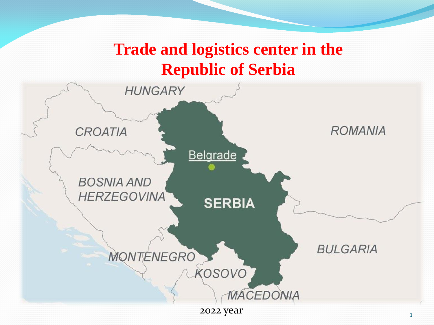# **Trade and logistics center in the Republic of Serbia**

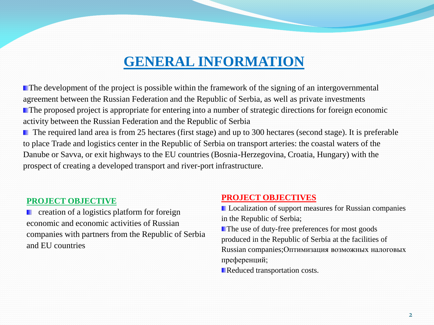## **GENERAL INFORMATION**

**The development of the project is possible within the framework of the signing of an intergovernmental** agreement between the Russian Federation and the Republic of Serbia, as well as private investments **The proposed project is appropriate for entering into a number of strategic directions for foreign economic** activity between the Russian Federation and the Republic of Serbia

■ The required land area is from 25 hectares (first stage) and up to 300 hectares (second stage). It is preferable to place Trade and logistics center in the Republic of Serbia on transport arteries: the coastal waters of the Danube or Savva, or exit highways to the EU countries (Bosnia-Herzegovina, Croatia, Hungary) with the prospect of creating a developed transport and river-port infrastructure.

#### **PROJECT OBJECTIVE**

 creation of a logistics platform for foreign economic and economic activities of Russian companies with partners from the Republic of Serbia and EU countries

#### **PROJECT OBJECTIVES**

**L** Localization of support measures for Russian companies in the Republic of Serbia;

The use of duty-free preferences for most goods produced in the Republic of Serbia at the facilities of Russian companies;Оптимизация возможных налоговых преференций;

Reduced transportation costs.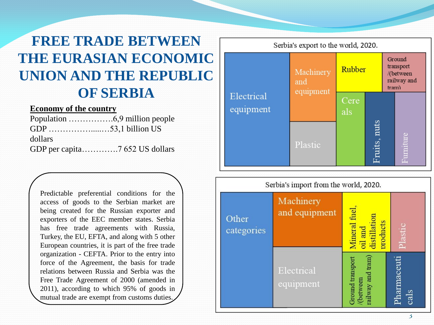## **FREE TRADE BETWEEN THE EURASIAN ECONOMIC UNION AND THE REPUBLIC OF SERBIA**

#### **Economy of the country**

| dollars |  |
|---------|--|
|         |  |

Predictable preferential conditions for the access of goods to the Serbian market are being created for the Russian exporter and exporters of the EEC member states . Serbia has free trade agreements with Russia, Turkey, the EU, EFTA, and along with 5 other European countries, it is part of the free trade organization - CEFTA . Prior to the entry into force of the Agreement, the basis for trade relations between Russia and Serbia was the Free Trade Agreement of 2000 (amended in 2011), according to which 95 % of goods in mutual trade are exempt from customs duties .



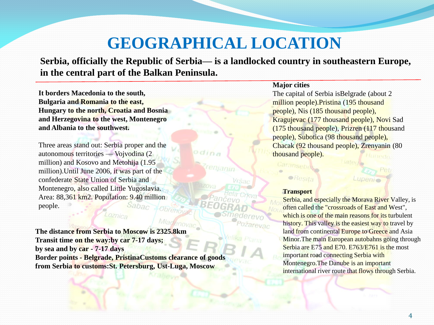# **GEOGRAPHICAL LOCATION**

**Serbia, officially the Republic of Serbia— is a landlocked country in southeastern Europe, in the central part of the Balkan Peninsula.**

dina

**It borders Macedonia to the south, Bulgaria and Romania to the east, Hungary to the north, Croatia and Bosnia and Herzegovina to the west, Montenegro and Albania to the southwest.**

Three areas stand out: Serbia proper and the autonomous territories — Vojvodina (2 million) and Kosovo and Metohija (1.95 million).Until June 2006, it was part of the confederate State Union of Serbia and Montenegro, also called Little Yugoslavia. Area: 88,361 km2. Population: 9.40 million people. Sabac **Obrenov** 

**The distance from Serbia to Moscow is 2325.8km Transit time on the way:by car 7-17 days; by sea and by car - 7-17 days Border points - Belgrade, PristinaCustoms clearance of goods from Serbia to customs:St. Petersburg, Ust-Luga, Moscow**

#### **Major cities**

The capital of Serbia isBelgrade (about 2 million people).Pristina (195 thousand people), Nis (185 thousand people), Kragujevac (177 thousand people), Novi Sad (175 thousand people), Prizren (117 thousand people), Subotica (98 thousand people), Chacak (92 thousand people), Zrenyanin (80 thousand people).

#### **Transport**

arevac

Resita

Caransebe

Serbia, and especially the Morava River Valley, is often called the "crossroads of East and West", which is one of the main reasons for its turbulent history. This valley is the easiest way to travel by land from continental Europe to Greece and Asia Minor. The main European autobahns going through Serbia are E75 and E70. E763/E761 is the most important road connecting Serbia with Montenegro.The Danube is an important international river route that flows through Serbia.

Lupeni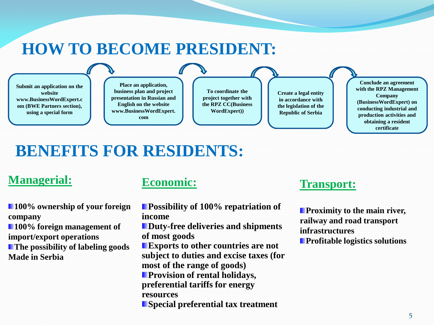## **HOW TO BECOME PRESIDENT:**

**Submit an application on the website www.BusinessWordExpert.c om (BWE Partners section), using a special form Place an application, business plan and project presentation in Russian and English on the website www.BusinessWordExpert. com To coordinate the project together with the RPZ CC(Business WordExpert)) Conclude an agreement with the RPZ Management Company (BusinessWordExpert) on conducting industrial and production activities and obtaining a resident Create a legal entity in accordance with the legislation of the Republic of Serbia**

## **BENEFITS FOR RESIDENTS:**

### **Managerial:**

**100% ownership of your foreign company 100% foreign management of import/export operations The possibility of labeling goods Made in Serbia**

### **Economic:**

- **Possibility of 100% repatriation of income**
- **Duty-free deliveries and shipments of most goods**
- **Exports to other countries are not subject to duties and excise taxes (for most of the range of goods) Provision of rental holidays, preferential tariffs for energy resources**
- **Special preferential tax treatment**

### **Transport:**

**Proximity to the main river, railway and road transport infrastructures Profitable logistics solutions**

**certificate**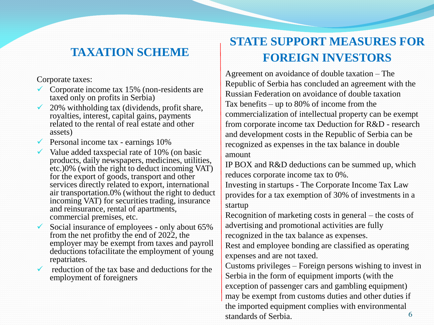## **TAXATION SCHEME**

Corporate taxes:

- Corporate income tax 15% (non-residents are taxed only on profits in Serbia)
- $\checkmark$  20% withholding tax (dividends, profit share, royalties, interest, capital gains, payments related to the rental of real estate and other assets)
- $\checkmark$  Personal income tax earnings 10%
- $\checkmark$  Value added taxspecial rate of 10% (on basic products, daily newspapers, medicines, utilities, etc.)0% (with the right to deduct incoming VAT) for the export of goods, transport and other services directly related to export, international air transportation.0% (without the right to deduct incoming VAT) for securities trading, insurance and reinsurance, rental of apartments, commercial premises, etc.
- $\checkmark$  Social insurance of employees only about 65% from the net profitby the end of 2022, the employer may be exempt from taxes and payroll deductions tofacilitate the employment of young repatriates.
- reduction of the tax base and deductions for the employment of foreigners

## **STATE SUPPORT MEASURES FOR FOREIGN INVESTORS**

Agreement on avoidance of double taxation – The Republic of Serbia has concluded an agreement with the Russian Federation on avoidance of double taxation Tax benefits – up to 80% of income from the commercialization of intellectual property can be exempt from corporate income tax Deduction for R&D - research and development costs in the Republic of Serbia can be recognized as expenses in the tax balance in double

amount

IP BOX and R&D deductions can be summed up, which reduces corporate income tax to 0%.

Investing in startups - The Corporate Income Tax Law provides for a tax exemption of 30% of investments in a startup

Recognition of marketing costs in general – the costs of advertising and promotional activities are fully recognized in the tax balance as expenses.

Rest and employee bonding are classified as operating expenses and are not taxed.

6 Customs privileges – Foreign persons wishing to invest in Serbia in the form of equipment imports (with the exception of passenger cars and gambling equipment) may be exempt from customs duties and other duties if the imported equipment complies with environmental standards of Serbia.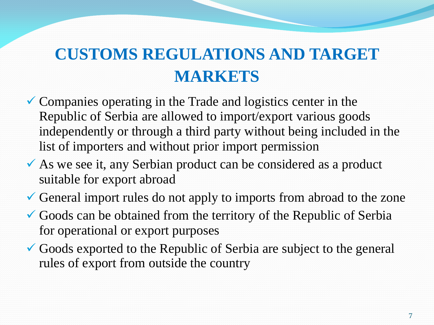# **CUSTOMS REGULATIONS AND TARGET MARKETS**

- $\checkmark$  Companies operating in the Trade and logistics center in the Republic of Serbia are allowed to import/export various goods independently or through a third party without being included in the list of importers and without prior import permission
- As we see it, any Serbian product can be considered as a product suitable for export abroad
- General import rules do not apply to imports from abroad to the zone
- Goods can be obtained from the territory of the Republic of Serbia for operational or export purposes
- Goods exported to the Republic of Serbia are subject to the general rules of export from outside the country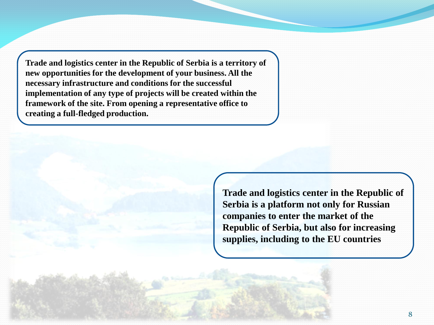**Trade and logistics center in the Republic of Serbia is a territory of new opportunities for the development of your business. All the necessary infrastructure and conditions for the successful implementation of any type of projects will be created within the framework of the site. From opening a representative office to creating a full-fledged production.**

> **Trade and logistics center in the Republic of Serbia is a platform not only for Russian companies to enter the market of the Republic of Serbia, but also for increasing supplies, including to the EU countries**